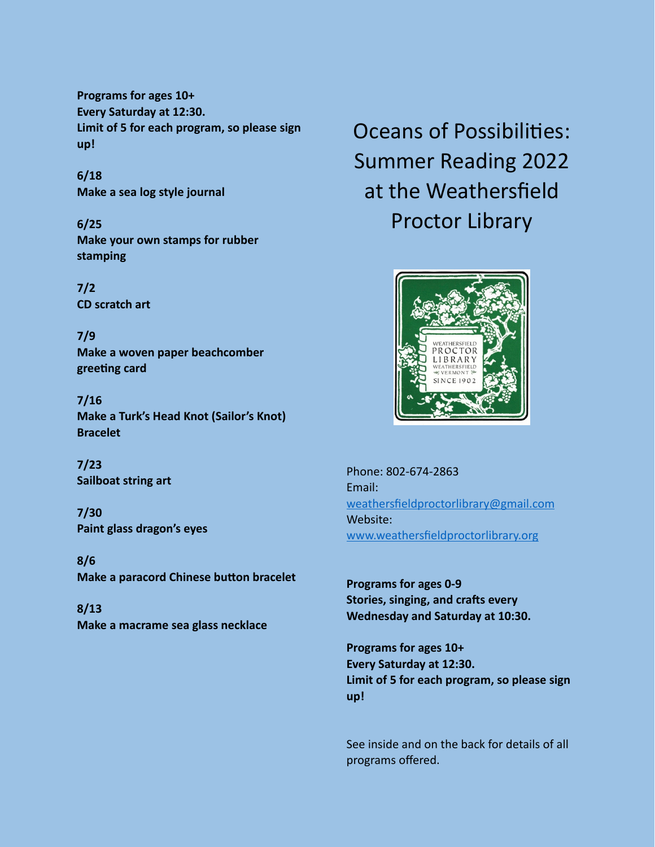**Programs for ages 10+ Every Saturday at 12:30. Limit of 5 for each program, so please sign up!** 

**6/18 Make a sea log style journal**

**6/25 Make your own stamps for rubber stamping**

**7/2 CD scratch art**

**7/9 Make a woven paper beachcomber greeting card**

**7/16 Make a Turk's Head Knot (Sailor's Knot) Bracelet**

**7/23 Sailboat string art**

**7/30 Paint glass dragon's eyes**

**8/6 Make a paracord Chinese button bracelet**

**8/13 Make a macrame sea glass necklace** Oceans of Possibilities: Summer Reading 2022 at the Weathersfield Proctor Library



Phone: 802-674-2863 Email: [weathersfieldproctorlibrary@gmail.com](mailto:weathersfieldproctorlibrary@gmail.com) Website: [www.weathersfieldproctorlibrary.org](http://www.weathersfieldproctorlibrary.org)

**Programs for ages 0-9 Stories, singing, and crafts every Wednesday and Saturday at 10:30.**

**Programs for ages 10+ Every Saturday at 12:30. Limit of 5 for each program, so please sign up!** 

See inside and on the back for details of all programs offered.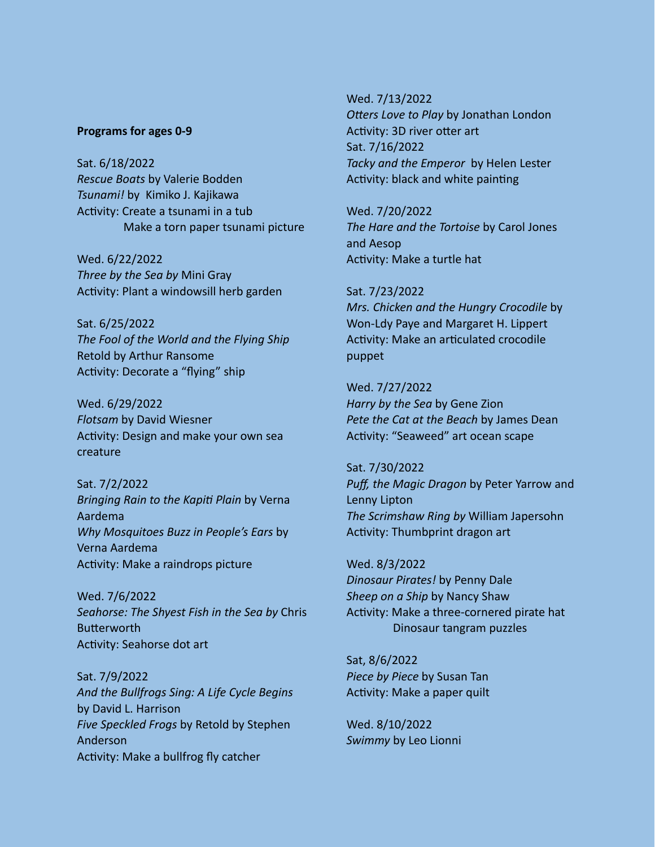## **Programs for ages 0-9**

Sat. 6/18/2022 *Rescue Boats* by Valerie Bodden *Tsunami!* by Kimiko J. Kajikawa Activity: Create a tsunami in a tub Make a torn paper tsunami picture

Wed. 6/22/2022 *Three by the Sea by* Mini Gray Activity: Plant a windowsill herb garden

Sat. 6/25/2022 *The Fool of the World and the Flying Ship*  Retold by Arthur Ransome Activity: Decorate a "flying" ship

Wed. 6/29/2022 *Flotsam* by David Wiesner Activity: Design and make your own sea creature

Sat. 7/2/2022 *Bringing Rain to the Kapiti Plain* by Verna Aardema *Why Mosquitoes Buzz in People's Ears* by Verna Aardema Activity: Make a raindrops picture

Wed. 7/6/2022 *Seahorse: The Shyest Fish in the Sea by* Chris Butterworth Activity: Seahorse dot art

Sat. 7/9/2022 *And the Bullfrogs Sing: A Life Cycle Begins* by David L. Harrison *Five Speckled Frogs* by Retold by Stephen Anderson Activity: Make a bullfrog fly catcher

Wed. 7/13/2022 *Otters Love to Play* by Jonathan London Activity: 3D river otter art Sat. 7/16/2022 *Tacky and the Emperor* by Helen Lester Activity: black and white painting

Wed. 7/20/2022 *The Hare and the Tortoise* by Carol Jones and Aesop Activity: Make a turtle hat

Sat. 7/23/2022 *Mrs. Chicken and the Hungry Crocodile* by Won-Ldy Paye and Margaret H. Lippert Activity: Make an articulated crocodile puppet

Wed. 7/27/2022 *Harry by the Sea* by Gene Zion *Pete the Cat at the Beach* by James Dean Activity: "Seaweed" art ocean scape

Sat. 7/30/2022 *Puff, the Magic Dragon* by Peter Yarrow and Lenny Lipton *The Scrimshaw Ring by* William Japersohn Activity: Thumbprint dragon art

Wed. 8/3/2022 *Dinosaur Pirates!* by Penny Dale *Sheep on a Ship* by Nancy Shaw Activity: Make a three-cornered pirate hat Dinosaur tangram puzzles

Sat, 8/6/2022 *Piece by Piece* by Susan Tan Activity: Make a paper quilt

Wed. 8/10/2022 *Swimmy* by Leo Lionni